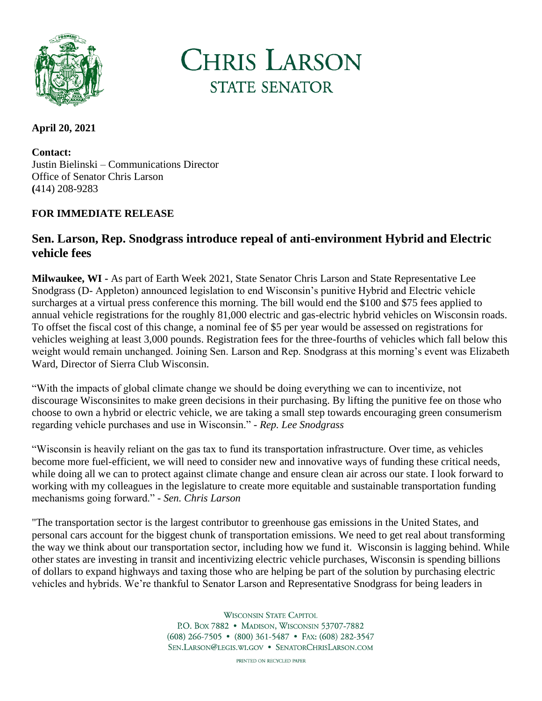

**CHRIS LARSON STATE SENATOR** 

**April 20, 2021**

**Contact:** Justin Bielinski – Communications Director Office of Senator Chris Larson **(**414) 208-9283

## **FOR IMMEDIATE RELEASE**

## **Sen. Larson, Rep. Snodgrass introduce repeal of anti-environment Hybrid and Electric vehicle fees**

**Milwaukee, WI -** As part of Earth Week 2021, State Senator Chris Larson and State Representative Lee Snodgrass (D- Appleton) announced legislation to end Wisconsin's punitive Hybrid and Electric vehicle surcharges at a virtual press conference this morning. The bill would end the \$100 and \$75 fees applied to annual vehicle registrations for the roughly 81,000 electric and gas-electric hybrid vehicles on Wisconsin roads. To offset the fiscal cost of this change, a nominal fee of \$5 per year would be assessed on registrations for vehicles weighing at least 3,000 pounds. Registration fees for the three-fourths of vehicles which fall below this weight would remain unchanged. Joining Sen. Larson and Rep. Snodgrass at this morning's event was Elizabeth Ward, Director of Sierra Club Wisconsin.

"With the impacts of global climate change we should be doing everything we can to incentivize, not discourage Wisconsinites to make green decisions in their purchasing. By lifting the punitive fee on those who choose to own a hybrid or electric vehicle, we are taking a small step towards encouraging green consumerism regarding vehicle purchases and use in Wisconsin." *- Rep. Lee Snodgrass*

"Wisconsin is heavily reliant on the gas tax to fund its transportation infrastructure. Over time, as vehicles become more fuel-efficient, we will need to consider new and innovative ways of funding these critical needs, while doing all we can to protect against climate change and ensure clean air across our state. I look forward to working with my colleagues in the legislature to create more equitable and sustainable transportation funding mechanisms going forward." *- Sen. Chris Larson*

"The transportation sector is the largest contributor to greenhouse gas emissions in the United States, and personal cars account for the biggest chunk of transportation emissions. We need to get real about transforming the way we think about our transportation sector, including how we fund it. Wisconsin is lagging behind. While other states are investing in transit and incentivizing electric vehicle purchases, Wisconsin is spending billions of dollars to expand highways and taxing those who are helping be part of the solution by purchasing electric vehicles and hybrids. We're thankful to Senator Larson and Representative Snodgrass for being leaders in

> **WISCONSIN STATE CAPITOL** P.O. Box 7882 • MADISON, WISCONSIN 53707-7882  $(608)$  266-7505 •  $(800)$  361-5487 • FAX:  $(608)$  282-3547 SEN.LARSON@LEGIS.WI.GOV . SENATORCHRISLARSON.COM

> > PRINTED ON RECYCLED PAPER